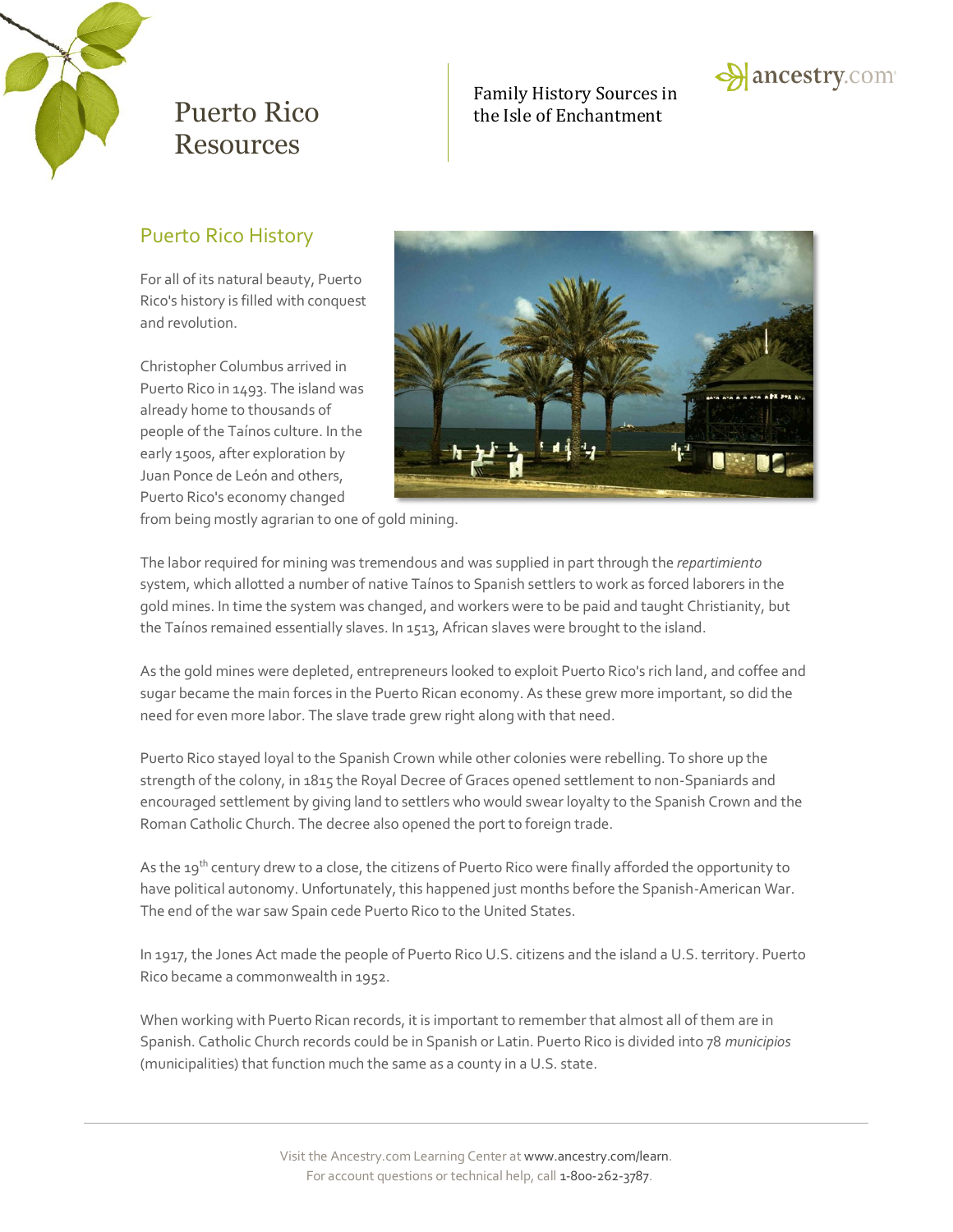

### Family History Sources in Puerto Rico he Isle of Enchantment



## Puerto Rico History

For all of its natural beauty, Puerto Rico's history is filled with conquest and revolution.

Christopher Columbus arrived in Puerto Rico in 1493. The island was already home to thousands of people of the Taínos culture. In the early 1500s, after exploration by Juan Ponce de León and others, Puerto Rico's economy changed



from being mostly agrarian to one of gold mining.

The labor required for mining was tremendous and was supplied in part through the *repartimiento* system, which allotted a number of native Taínos to Spanish settlers to work as forced laborers in the gold mines. In time the system was changed, and workers were to be paid and taught Christianity, but the Taínos remained essentially slaves. In 1513, African slaves were brought to the island.

As the gold mines were depleted, entrepreneurs looked to exploit Puerto Rico's rich land, and coffee and sugar became the main forces in the Puerto Rican economy. As these grew more important, so did the need for even more labor. The slave trade grew right along with that need.

Puerto Rico stayed loyal to the Spanish Crown while other colonies were rebelling. To shore up the strength of the colony, in 1815 the Royal Decree of Graces opened settlement to non-Spaniards and encouraged settlement by giving land to settlers who would swear loyalty to the Spanish Crown and the Roman Catholic Church. The decree also opened the port to foreign trade.

As the 19<sup>th</sup> century drew to a close, the citizens of Puerto Rico were finally afforded the opportunity to have political autonomy. Unfortunately, this happened just months before the Spanish-American War. The end of the war saw Spain cede Puerto Rico to the United States.

In 1917, the Jones Act made the people of Puerto Rico U.S. citizens and the island a U.S. territory. Puerto Rico became a commonwealth in 1952.

When working with Puerto Rican records, it is important to remember that almost all of them are in Spanish. Catholic Church records could be in Spanish or Latin. Puerto Rico is divided into 78 *municipios* (municipalities) that function much the same as a county in a U.S. state.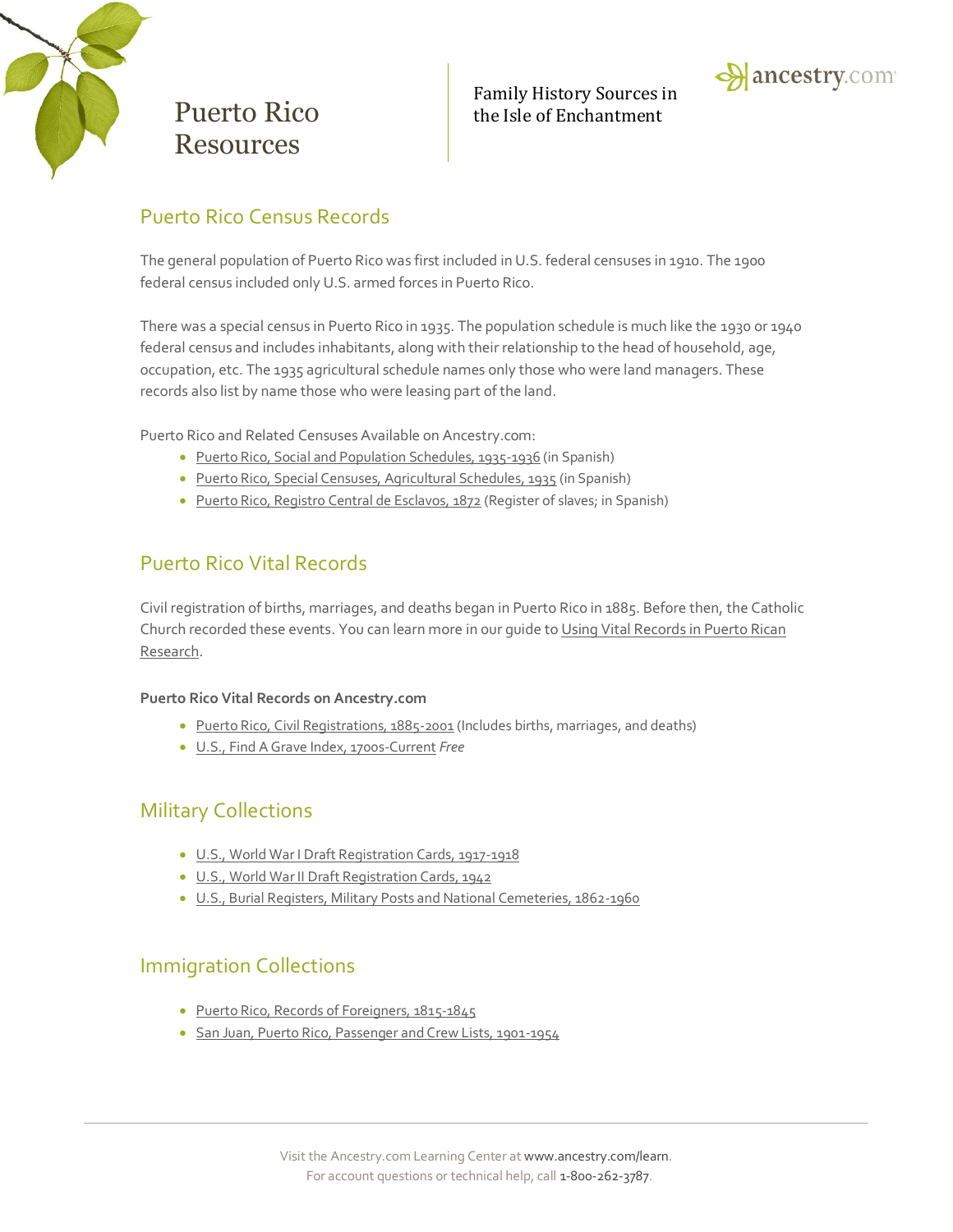

### Family History Sources in Puerto Rico the Isle of Enchantment



## Puerto Rico Census Records

The general population of Puerto Rico was first included in U.S. federal censuses in 1910. The 1900 federal census included only U.S. armed forces in Puerto Rico.

There was a special census in Puerto Rico in 1935. The population schedule is much like the 1930 or 1940 federal census and includes inhabitants, along with their relationship to the head of household, age, occupation, etc. The 1935 agricultural schedule names only those who were land managers. These records also list by name those who were leasing part of the land.

Puerto Rico and Related Censuses Available on Ancestry.com:

- [Puerto Rico, Social and Population Schedules, 1935-1936](http://search.ancestry.com/search/db.aspx?dbid=2404) (in Spanish)
- [Puerto Rico, Special Censuses, Agricultural Schedules, 1935](http://search.ancestry.com/search/db.aspx?dbid=3033) (in Spanish)
- [Puerto Rico, Registro Central de Esclavos, 1872](http://search.ancestry.com/search/db.aspx?dbid=2774) (Register of slaves; in Spanish)

## Puerto Rico Vital Records

Civil registration of births, marriages, and deaths began in Puerto Rico in 1885. Before then, the Catholic Church recorded these events. You can learn more in our quide to Using Vital Records in Puerto Rican [Research.](http://c.mfcreative.com/mars/spot/puerto-rico/2014/us/puerto-rico-research-guide.pdf)

#### **Puerto Rico Vital Records on Ancestry.com**

- [Puerto Rico, Civil Registrations, 1885-2001](http://search.ancestry.com/search/db.aspx?dbid=9100) (Includes births, marriages, and deaths)
- [U.S., Find A Grave Index, 1700s-Current](http://search.ancestry.com/search/db.aspx?dbid=60525) *Free*

## Military Collections

- [U.S., World War I Draft Registration Cards, 1917-1918](http://search.ancestry.com/search/db.aspx?dbid=6482)
- [U.S., World War II Draft Registration Cards, 1942](http://search.ancestry.com/search/db.aspx?dbid=1002)
- [U.S., Burial Registers, Military Posts and National Cemeteries, 1862-1960](http://search.ancestry.com/search/db.aspx?dbid=3135)

## Immigration Collections

- [Puerto Rico, Records of Foreigners, 1815-1845](http://search.ancestry.com/search/db.aspx?dbid=3027)
- [San Juan, Puerto Rico, Passenger and Crew Lists, 1901-1954](http://search.ancestry.com/search/db.aspx?dbid=2257)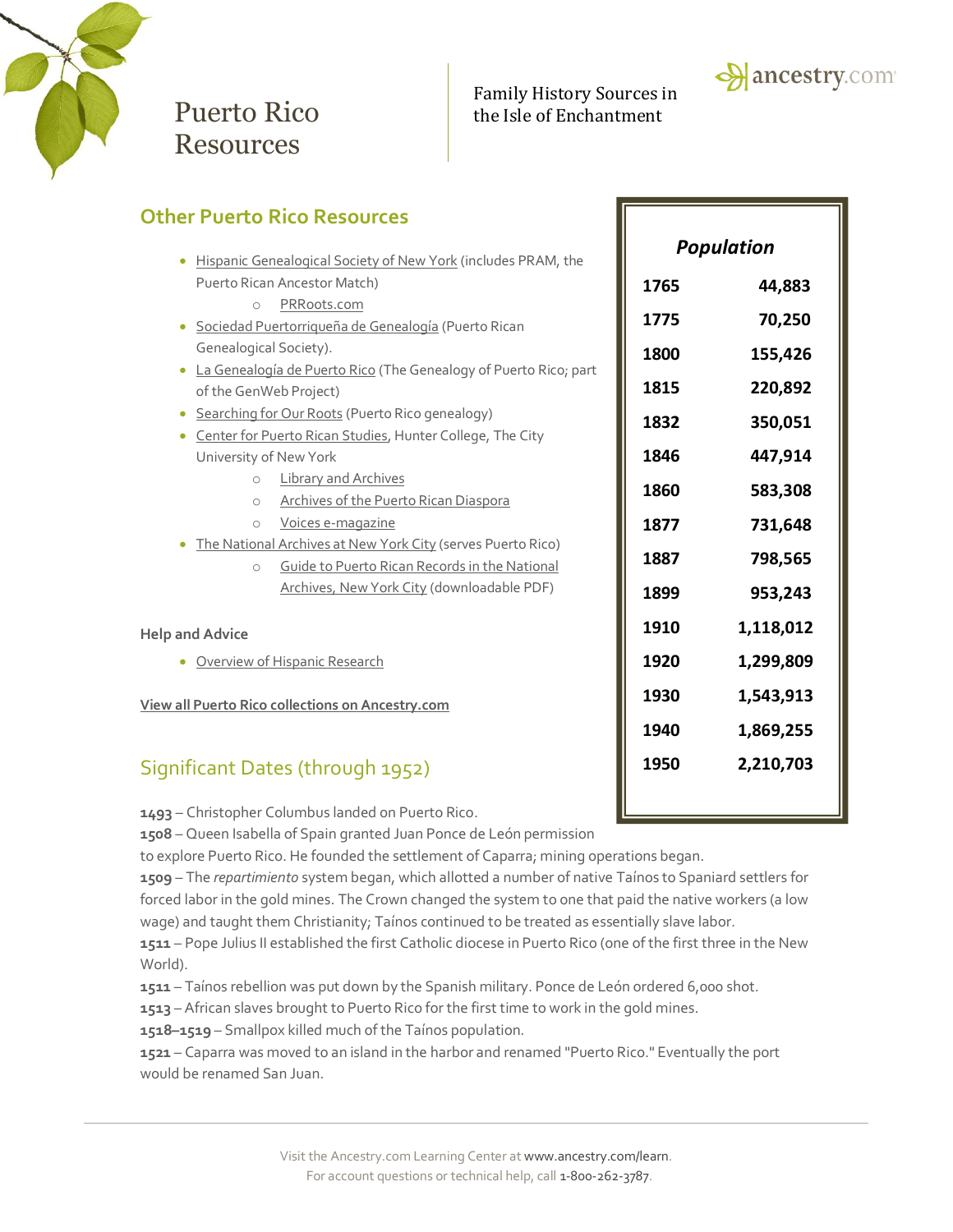

### Family History Sources in Puerto Rico the Isle of Enchantment



**1950 2,210,703**

| <b>Other Puerto Rico Resources</b>                                            |                   |           |
|-------------------------------------------------------------------------------|-------------------|-----------|
| Hispanic Genealogical Society of New York (includes PRAM, the<br>$\bullet$    | <b>Population</b> |           |
| Puerto Rican Ancestor Match)                                                  | 1765              | 44,883    |
| PRRoots.com<br>$\circ$                                                        |                   |           |
| Sociedad Puertorriqueña de Genealogía (Puerto Rican<br>$\bullet$              | 1775              | 70,250    |
| Genealogical Society).                                                        | 1800              | 155,426   |
| La Genealogía de Puerto Rico (The Genealogy of Puerto Rico; part<br>$\bullet$ |                   |           |
| of the GenWeb Project)                                                        | 1815              | 220,892   |
| Searching for Our Roots (Puerto Rico genealogy)                               | 1832              | 350,051   |
| Center for Puerto Rican Studies, Hunter College, The City<br>$\bullet$        |                   |           |
| University of New York                                                        | 1846              | 447,914   |
| <b>Library and Archives</b><br>$\circ$                                        | 1860              | 583,308   |
| <b>Archives of the Puerto Rican Diaspora</b><br>$\circ$                       |                   |           |
| Voices e-magazine<br>$\bigcirc$                                               | 1877              | 731,648   |
| The National Archives at New York City (serves Puerto Rico)                   | 1887              | 798,565   |
| Guide to Puerto Rican Records in the National<br>$\circ$                      |                   |           |
| Archives, New York City (downloadable PDF)                                    | 1899              | 953,243   |
| <b>Help and Advice</b>                                                        | 1910              | 1,118,012 |
| Overview of Hispanic Research                                                 | 1920              | 1,299,809 |
| View all Puerto Rico collections on Ancestry.com                              | 1930              | 1,543,913 |
|                                                                               | 1940              | 1,869,255 |
|                                                                               |                   |           |

## Significant Dates (through 1952)

**1493** – Christopher Columbus landed on Puerto Rico.

**1508** – Queen Isabella of Spain granted Juan Ponce de León permission

to explore Puerto Rico. He founded the settlement of Caparra; mining operations began.

**1509** – The *repartimiento* system began, which allotted a number of native Taínos to Spaniard settlers for forced labor in the gold mines. The Crown changed the system to one that paid the native workers (a low wage) and taught them Christianity; Taínos continued to be treated as essentially slave labor.

**1511** – Pope Julius II established the first Catholic diocese in Puerto Rico (one of the first three in the New World).

**1511** – Taínos rebellion was put down by the Spanish military. Ponce de León ordered 6,000 shot.

**1513** – African slaves brought to Puerto Rico for the first time to work in the gold mines.

**1518–1519** – Smallpox killed much of the Taínos population.

**1521** – Caparra was moved to an island in the harbor and renamed "Puerto Rico." Eventually the port would be renamed San Juan.